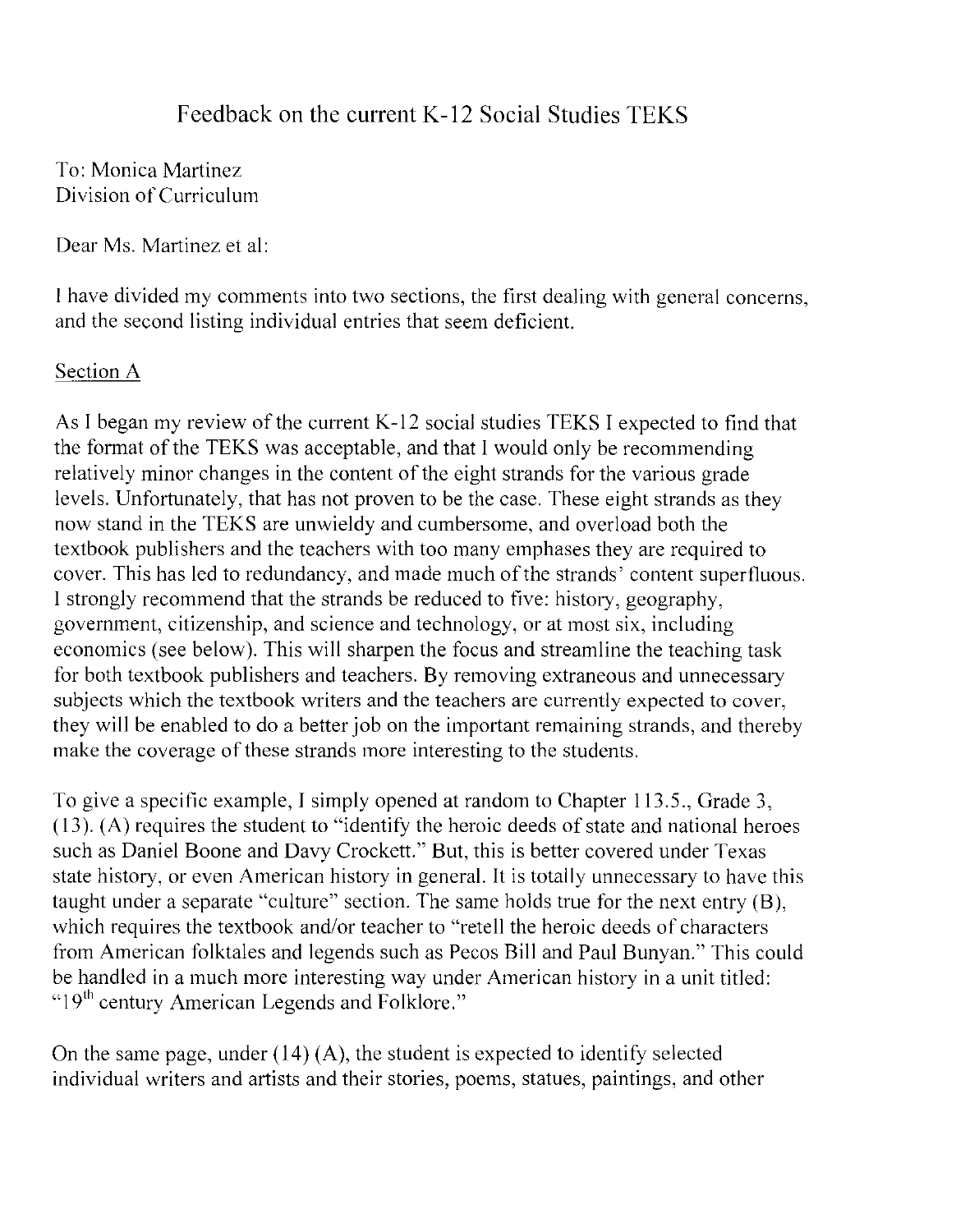To: Monica Martinez Division of Curriculum

Dear Ms. Martinez et al:

I have divided my comments into two sections, the first dealing with general concerns, and the second listing individual entries that seem deficient.

## Section A

As I began my review of the current  $K-12$  social studies TEKS I expected to find that the format of the TEKS was acceptable, and that I would only be recommending relatively minor changes in the content of the eight strands for the various grade levels. Unfortunately, that has not proven to be the case. These eight strands as they now stand in the TEKS are unwieldy and cumbersome, and overload both the textbook publishers and the teachers with too many emphases they are required to cover. This has led to redundancy, and made much of the strands' content superfluous. I strongly recommend that the strands be reduced to five: history, geography, government, citizenship, and science and technology, or at most six, including economics (see below). This will sharpen the focus and streamline the teaching task for both textbook publishers and teachers. By removing extraneous and unnecessary subjects which the textbook writers and the teachers are currently expected to cover, they will be enabled to do a better job on the important remaining strands, and thereby make the coverage of these strands more interesting to the students.

To give a specific example, I simply opened at random to Chapter 113.5., Grade 3, (13). (A) requires the student to "identify the heroic deeds of state and national heroes such as Daniel Boone and Davy Crockett." But, this is better covered under Texas state history, or even American history in general. It is totally unnecessary to have this taught under a separate "culture" section. The same holds true for the next entry (B), which requires the textbook and/or teacher to "retell the heroic deeds of characters from American folktales and legends such as Pecos Bill and Paul Bunyan." This could be handled in a much more interesting way under American history in a unit titled: " $19<sup>th</sup>$  century American Legends and Folklore."

On the same page, under (14) (A), the student is expected to identify selected individual writers and artists and their stories, poems, statues, paintings, and other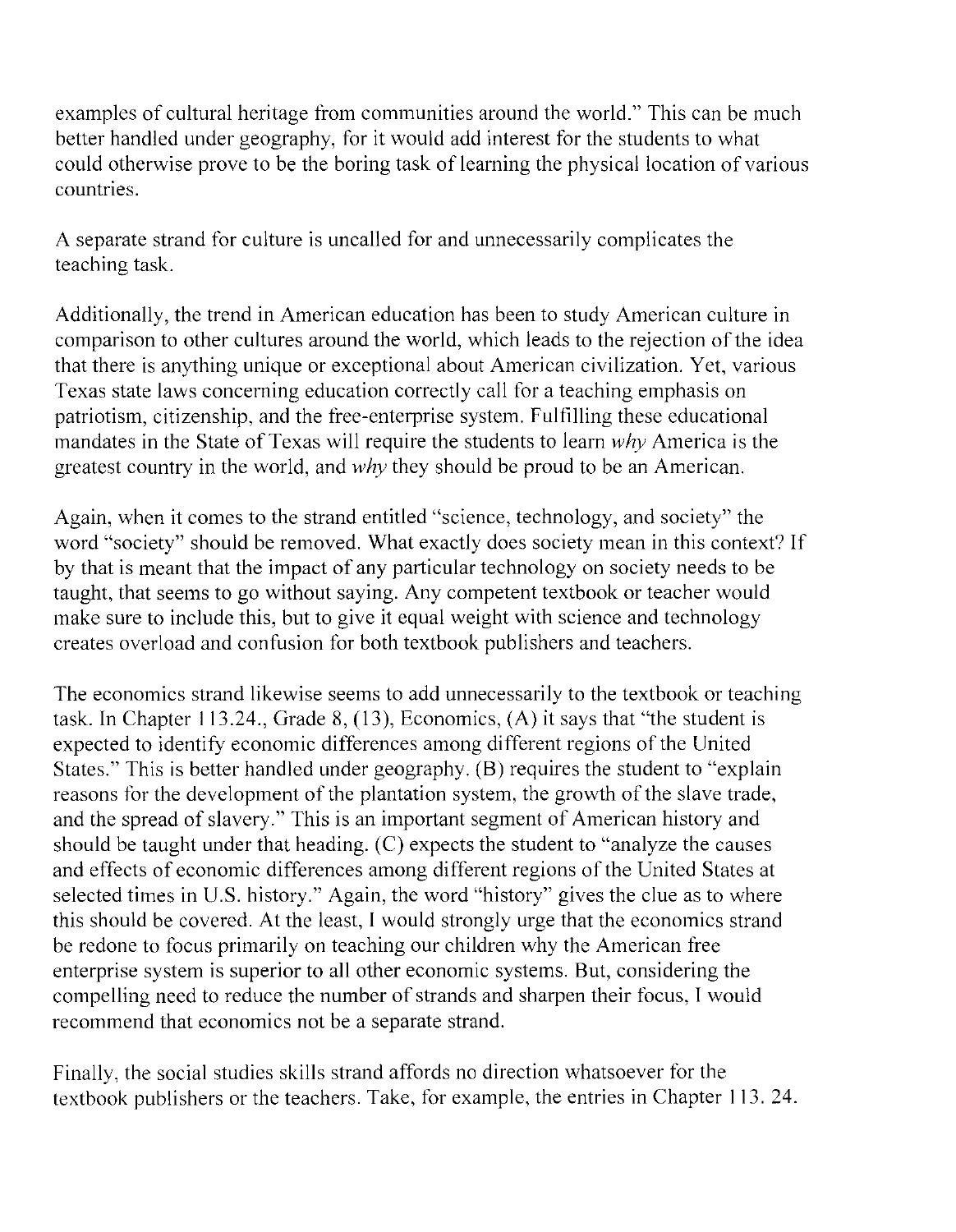examples of cultural heritage from communities around the world." This can be much better handled under geography, for it would add interest for the students to what could otherwise prove to be the boring task of learning the physical location of various countries.

A separate strand for culture is uncalled for and unnecessarily complicates the teaching task.

Additionally, the trend in American education has been to study American culture in comparison to other cultures around the world, which leads to the rejection of the idea that there is anything unique or exceptional about American civilization. Yet, various Texas state laws concerning education correctly call for a teaching emphasis on patriotism, citizenship, and the free-enterprise system. Fultilling these educational mandates in the State of Texas will require the students to learn *why* America is the greatest country in the world, and *why* they should be proud to be an American.

Again, when it comes to the strand entitled "science, technology, and society" the word "society" should be removed. What exactly does society mean in this context? If by that is meant that the impact of any particular technology on society needs to be taught, that seems to go without saying. Any competent textbook or teacher would make sure to include this, but to give it equal weight with science and technology creates overload and confusion for both textbook publishers and teachers.

The economics strand likewise seems to add unnecessarily to the textbook or teaching task. In Chapter 113.24., Grade 8, (13), Economics, (A) it says that "the student is expected to identify economic differences among different regions of the United States." This is better handled under geography. (B) requires the student to "explain reasons for the development of the plantation system, the growth of the slave trade, and the spread of slavery." This is an important segment of American history and should be taught under that heading. (C) expects the student to "analyze the causes and effects of economic differences among different regions of the United States at selected times in U.S. history." Again, the word "history" gives the clue as to where this should be covered. At the least, I would strongly urge that the economics strand be redone to focus primarily on teaching our children why the American free enterprise system is superior to all other economic systems. But, considering the compelling need to reduce the number of strands and sharpen their focus, I would recommend that economics not be a separate strand.

Finally, the social studies skills strand affords no direction whatsoever for the textbook publishers or the teachers. Take, for example, the entries in Chapter I 13. 24.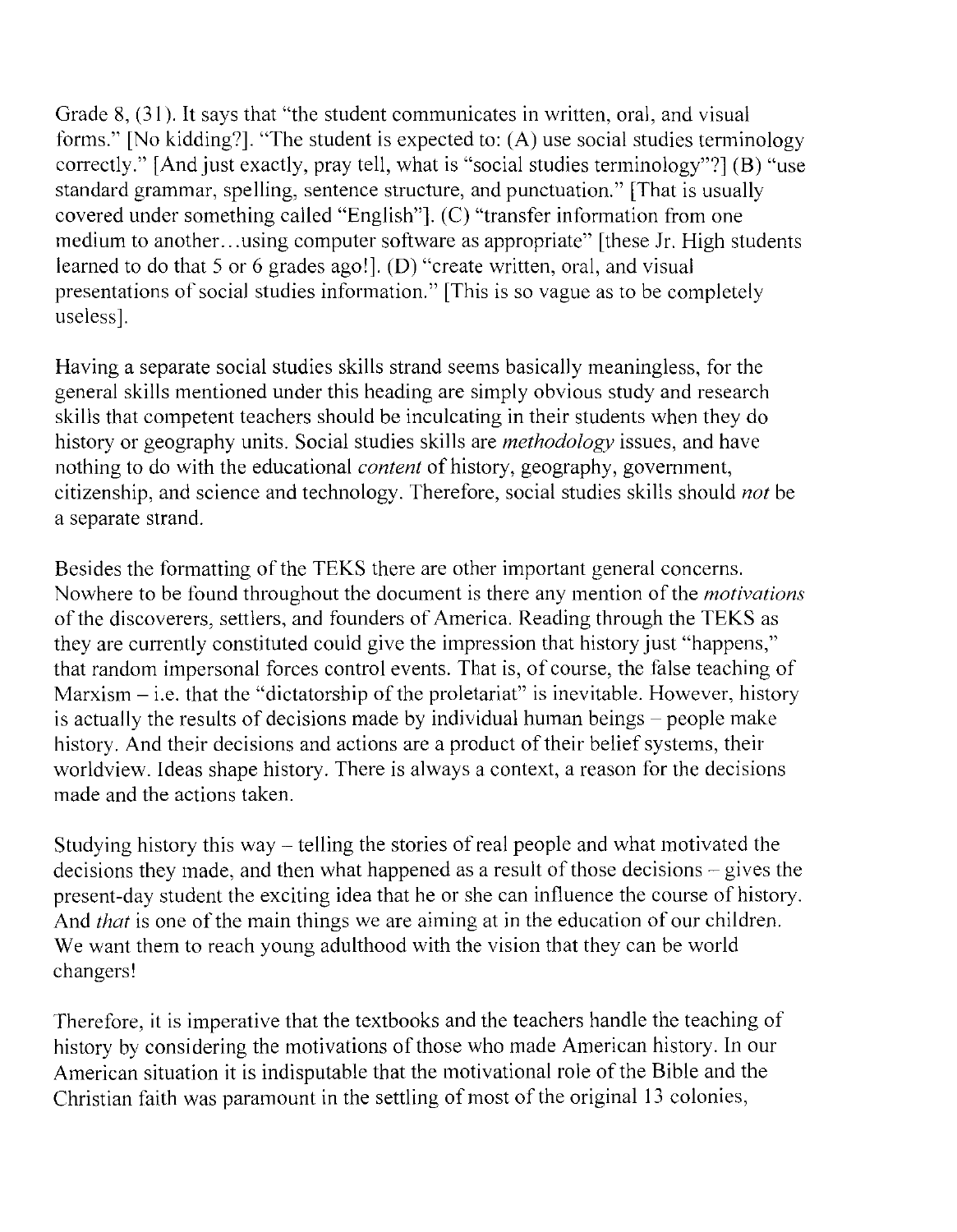Grade 8, (31). It says that "the student communicates in written, oral, and visual forms." [No kidding?]. "The student is expected to: (A) use social studies terminology correctly." [And just exactly, pray tell, what is "social studies terminology"?] (B) "use standard grammar, spelling, sentence structure, and punctuation." [That is usually covered under something called "English"]. (C) "transfer information from one medium to another...using computer software as appropriate" [these Jr. High students learned to do that 5 or 6 grades ago!]. (D) "create written, oral, and visual presentations of social studies information." [This is so vague as to be completely useless].

Having a separate social studies skills strand seems basically meaningless, for the general skills mentioned under this heading are simply obvious study and research skills that competent teachers should be inculcating in their students when they do history or geography units. Social studies skills are *methodology* issues, and have nothing to do with the educational *content* of history, geography, government, citizenship, and science and technology. Therefore, social studies skills should *not* be a separate strand.

Besides the formatting of the TEKS there are other important general concerns. Nowhere to be found throughout the document is there any mention of the *motivations*  of the discoverers, settlers, and founders of America. Reading through the TEKS as they are currently constituted could give the impression that history just "happens," that random impersonal forces control events. That is, of course, the false teaching of Marxism  $-$  i.e. that the "dictatorship of the proletariat" is inevitable. However, history is actually the results of decisions made by individual human beings – people make history. And their decisions and actions are a product of their belief systems, their worldview. Ideas shape history. There is always a context, a reason for the decisions made and the actions taken.

Studying history this way - telling the stories of real people and what motivated the decisions they made, and then what happened as a result of those decisions  $-$  gives the present-day student the exciting idea that he or she can influence the course of history. And *that* is one of the main things we are aiming at in the education of our children. We want them to reach young adulthood with the vision that they can be world changers!

Therefore, it is imperative that the textbooks and the teachers handle the teaching of history by considering the motivations of those who made American history. In our American situation it is indisputable that the motivational role of the Bible and the Christian faith was paramount in the settling of most of the original 13 colonies,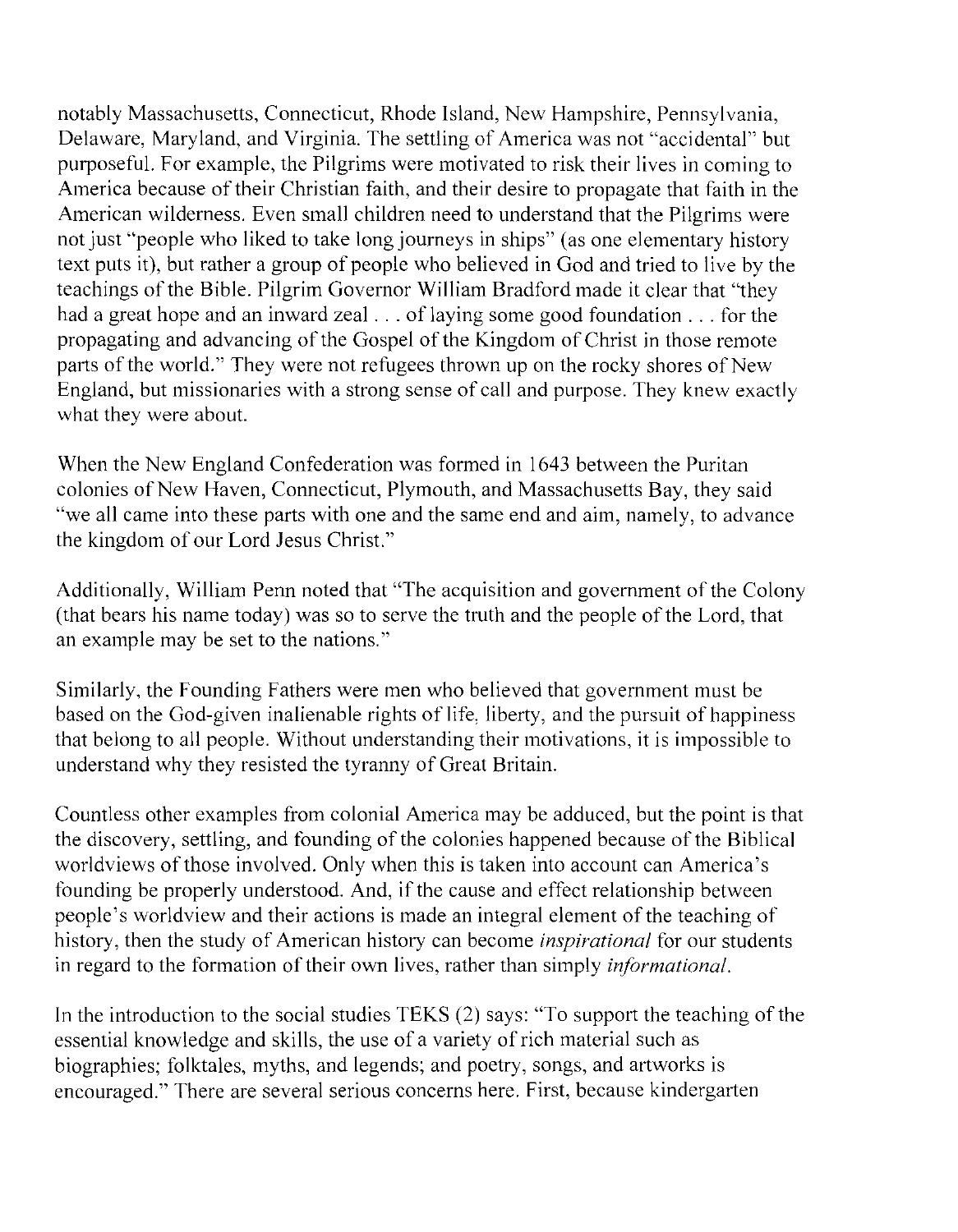notably Massachusetts, Connecticut, Rhode Island, New Hampshire, Pennsylvania, Delaware, Maryland, and Virginia. The settling of America was not "accidental" but purposeful. For example, the Pilgrims were motivated to risk their lives in coming to America because of their Christian faith, and their desire to propagate that faith in the American wilderness. Even small children need to understand that the Pilgrims were not just "people who liked to take long journeys in ships" (as one elementary history text puts it), but rather a group of people who believed in God and tried to live by the teachings of the Bible. Pilgrim Governor William Bradford made it clear that "they had a great hope and an inward zeal ... of laying some good foundation ... for the propagating and advancing of the Gospel of the Kingdom of Christ in those remote parts of the world." They were not refugees thrown up on the rocky shores of New England, but missionaries with a strong sense of call and purpose. They knew exactly what they were about.

When the New England Confederation was formed in 1643 between the Puritan colonies of New Haven, Connecticut, Plymouth, and Massachusetts Bay, they said "we all came into these parts with one and the same end and aim, namely, to advance the kingdom of our Lord Jesus Christ."

Additionally, William Penn noted that "The acquisition and government of the Colony (that bears his name today) was so to serve the truth and the people of the Lord, that an example may be set to the nations."

Similarly, the Founding Fathers were men who believed that government must be based on the God-given inalienable rights of life, liberty, and the pursuit of happiness that belong to all people. Without understanding their motivations, it is impossible to understand why they resisted the tyranny of Great Britain.

Countless other examples from colonial America may be adduced, but the point is that the discovery, settling, and founding of the colonies happened because of the Biblical worldviews of those involved. Only when this is taken into account can America's founding be properly understood. And, if the cause and effect relationship between people's worldview and their actions is made an integral element of the teaching of history, then the study of American history can become *inspirational* for our students in regard to the formation of their own lives, rather than simply *informational.* 

In the introduction to the social studies TEKS  $(2)$  says: "To support the teaching of the essential knowledge and skills, the use of a variety of rich material such as biographies; folktales, myths, and legends; and poetry, songs, and artworks is encouraged." There are several serious concerns here. First, because kindergarten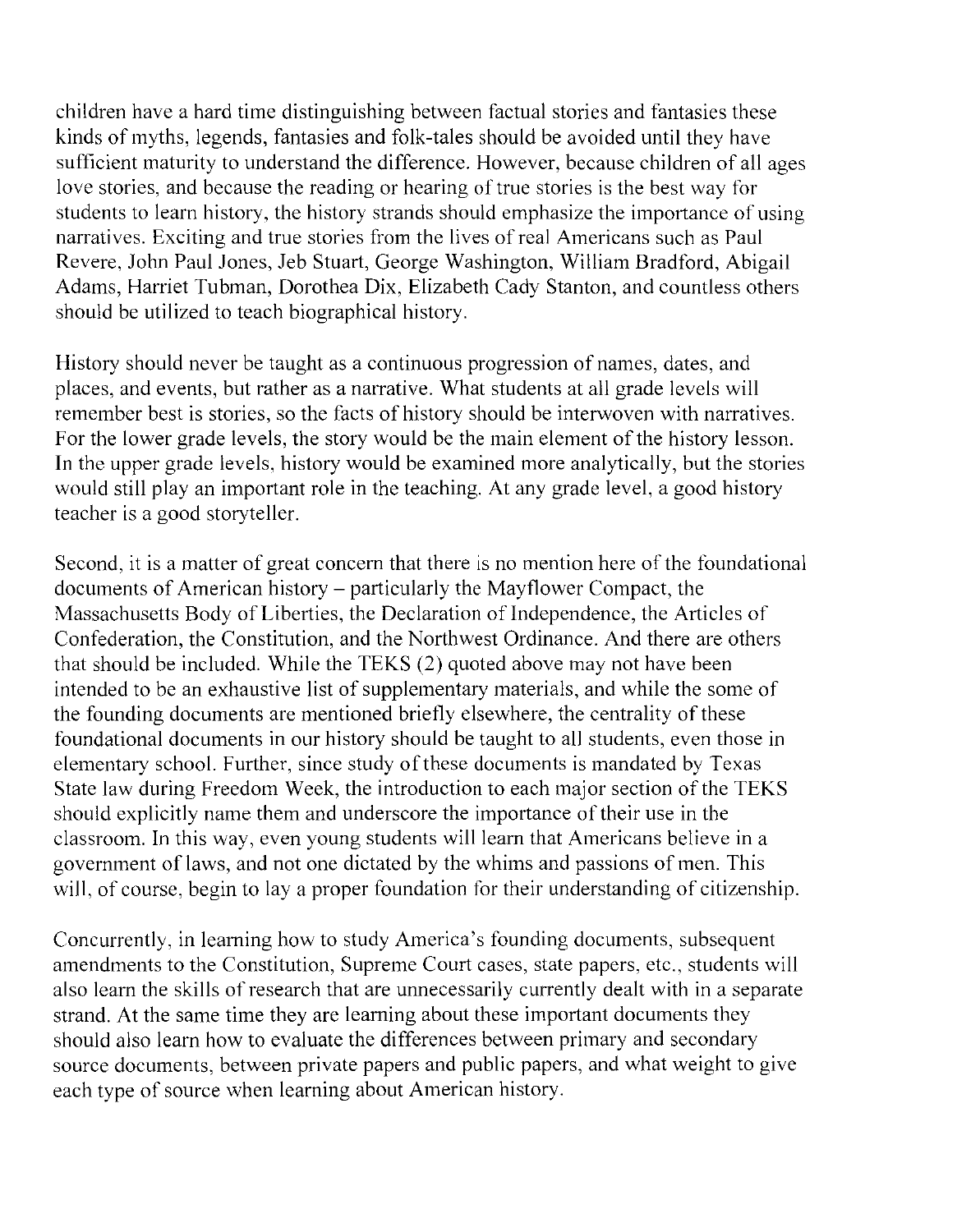children have a hard time distinguishing between factual stories and fantasies these kinds of myths, legends, fantasies and folk-tales should be avoided until they have sufficient maturity to understand the difference. However, because children of all ages love stories, and because the reading or hearing of true stories is the best way for students to learn history, the history strands should emphasize the importance of using narratives. Exciting and true stories from the lives of real Americans such as Paul Revere, John Paul Jones, Jeb Stuart, George Washington, William Bradford, Abigail Adams, Harriet Tubman, Dorothea Dix, Elizabeth Cady Stanton, and countless others should be utilized to teach biographical history.

History should never be taught as a continuous progression of names, dates, and places, and events, but rather as a narrative. What students at all grade levels will remember best is stories, so the facts of history should be interwoven with narratives. For the lower grade levels, the story would be the main element of the history lesson. **In** the upper grade levels, history would be examined more analytically, but the stories would still play an important role in the teaching. At any grade level, a good history teacher is a good storyteller.

Second, it is a matter of great concern that there is no mention here of the foundational documents of American history - particularly the Mayflower Compact, the Massachusetts Body of Liberties, the Declaration of Independence, the Articles of Confederation, the Constitution, and the Northwest Ordinance. And there are others that should be included. While the TEKS (2) quoted above may not have been intended to be an exhaustive list of supplementary materials, and while the some of the founding documents are mentioned briet1y elsewhere, the centrality of these foundational documents in our history should be taught to all students, even those in elementary school. Further, since study of these documents is mandated by Texas State law during Freedom Week, the introduction to each major section of the TEKS should explicitly name them and underscore the importance of their use in the classroom. **In** this way, even young students will learn that Americans believe in a government oflaws, and not one dictated by the whims and passions of men. This will, of course, begin to lay a proper foundation for their understanding of citizenship.

Concurrently, in learning how to study America's founding documents, subsequent amendments to the Constitution, Supreme Court cases, state papers, etc., students will also learn the skills of research that are unnecessarily currently dealt with in a separate strand. At the same time they are learning about these important documents they should also learn how to evaluate the differences between primary and secondary source documents, between private papers and public papers, and what weight to give each type of source when learning about American history.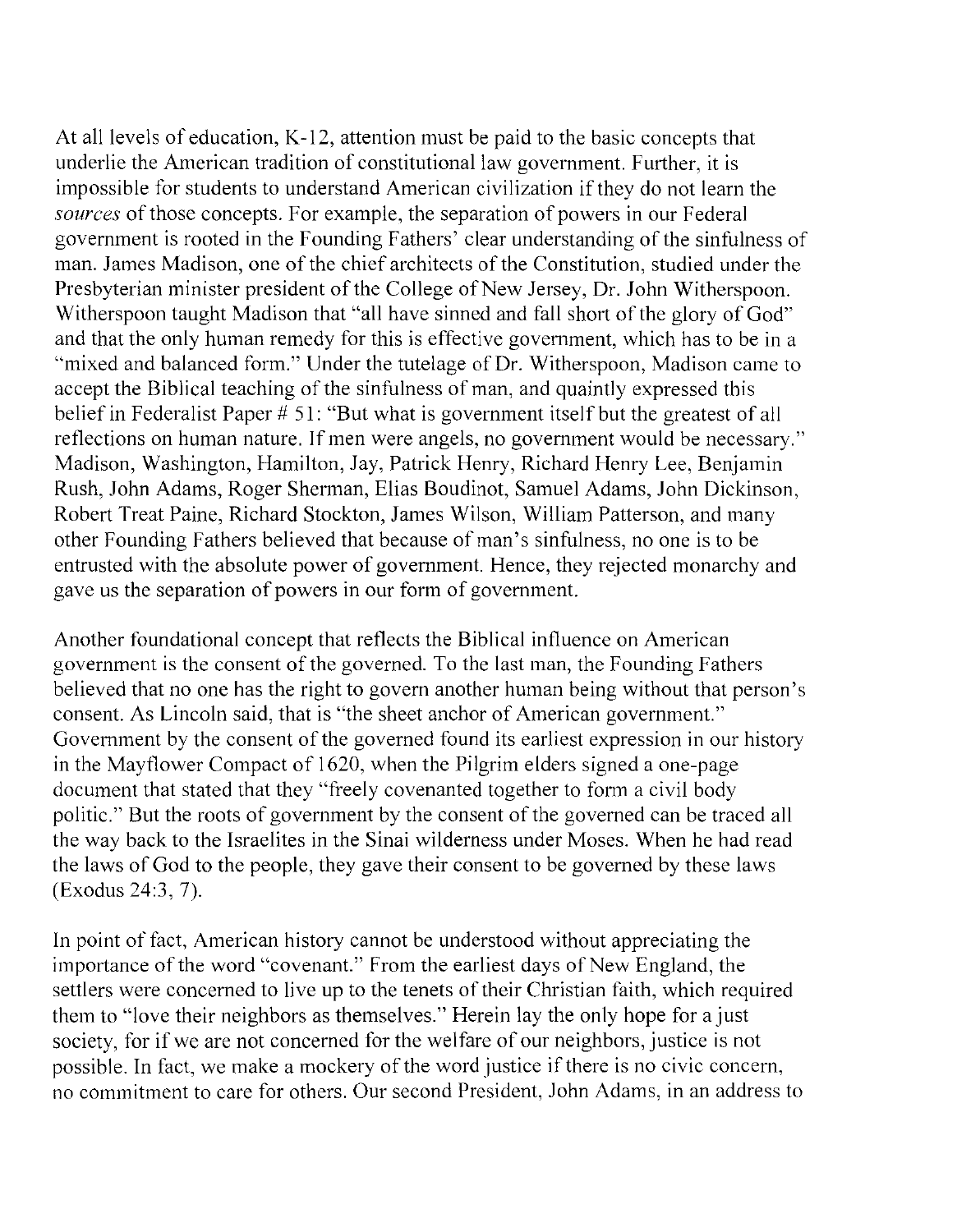At all levels of education, K-12, attention must be paid to the basic concepts that underlie the American tradition of constitutional law government. Further, it is impossible for students to understand American civilization if they do not learn the *sources* of those concepts. For example, the separation of powers in our Federal government is rooted in the Founding Fathers' clear understanding of the sinfulness of man. James Madison, one of the chief architects of the Constitution, studied under the Presbyterian minister president of the College of New Jersey, Dr. John Witherspoon. Witherspoon taught Madison that "all have sinned and fall short of the glory of God" and that the only human remedy for this is effective government, which has to be in a "mixed and balanced form." Under the tutelage of Dr. Witherspoon, Madison came to accept the Biblical teaching of the sinfulness of man, and quaintly expressed this belief in Federalist Paper # 51: "But what is government itself but the greatest of all reflections on human nature. If men were angels, no government would be necessary." Madison, Washington, Hamilton, Jay, Patrick Henry, Richard Henry Lee, Benjamin Rush, John Adams, Roger Sherman, Elias Boudinot, Samuel Adams, John Dickinson, Robert Treat Paine, Richard Stockton, James Wilson, William Patterson, and many other Founding Fathers believed that because of man's sinfulness, no one is to be entrusted with the absolute power of government. Hence, they rejected monarchy and gave us the separation of powers in our form of government.

Another foundational concept that reflects the Biblical influence on American government is the consent of the governed. To the last man, the Founding Fathers believed that no one has the right to govern another human being without that person's consent. As Lincoln said, that is "the sheet anchor of American government." Government by the consent of the governed found its earliest expression in our history in the Mayflower Compact of 1620, when the Pilgrim elders signed a one-page document that stated that they "freely covenanted together to form a civil body politic." But the roots of government by the consent of the governed can be traced all the way back to the Israelites in the Sinai wilderness under Moses. When he had read the laws of God to the people, they gave their consent to be governed by these laws (Exodus 24:3, 7).

In point of fact, American history cannot be understood without appreciating the importance of the word "covenant." From the earliest days of New England, the settlers were concerned to live up to the tenets of their Christian faith, which required them to "love their neighbors as themselves." Herein lay the only hope for a just society, for if we are not concerned for the welfare of our neighbors, justice is not possible. **In** fact, we make a mockery of the word justice if there is no civic concern, no commitment to care for others. Our second President, John Adams, in an address to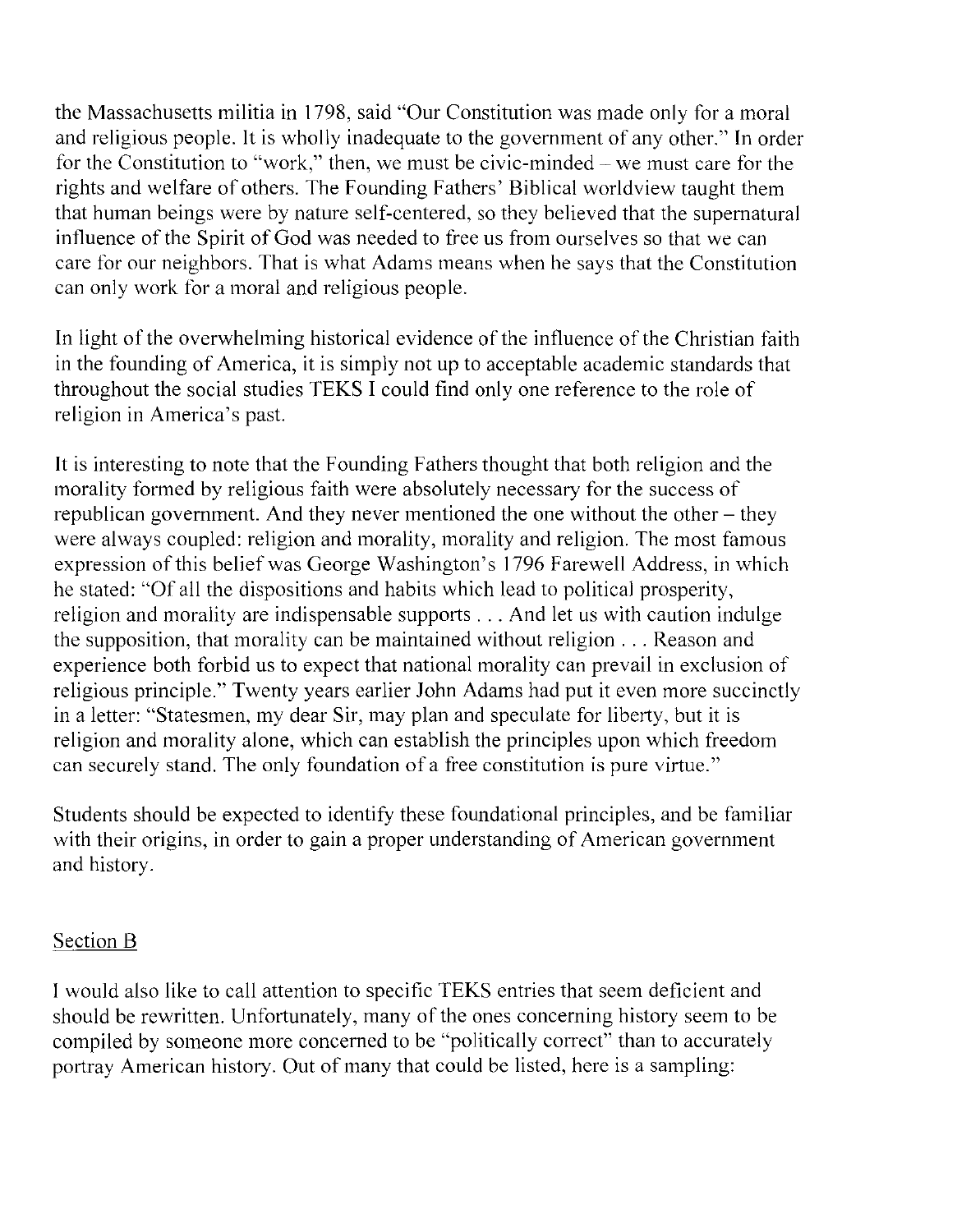the Massachusetts militia in 1798, said "Our Constitution was made only for a moral and religious people. It is wholly inadequate to the government of any other." In order for the Constitution to "work," then, we must be civic-minded  $-$  we must care for the rights and welfare of others. The Founding Fathers' Biblical worldview taught them that human beings were by nature self-centered, so they believed that the supernatural influence of the Spirit of God was needed to free us from ourselves so that we can care for our neighbors. That is what Adams means when he says that the Constitution can only work for a moral and religious people.

In light of the overwhelming historical evidence of the influence of the Christian faith in the founding of America, it is simply not up to acceptable academic standards that throughout the social studies TEKS I could find only one reference to the role of religion in America's past.

It is interesting to note that the Founding Fathers thought that both religion and the morality formed by religious faith were absolutely necessary for the success of republican government. And they never mentioned the one without the other  $-$  they were always coupled: religion and morality, morality and religion. The most famous expression of this belief was George Washington's 1796 Farewell Address, in which he stated: "Of all the dispositions and habits which lead to political prosperity, religion and morality are indispensable supports ... And let us with caution indulge the supposition, that morality can be maintained without religion ... Reason and experience both forbid us to expect that national morality can prevail in exclusion of religious principle." Twenty years earlier John Adams had put it even more succinctly in a letter: "Statesmen, my dear Sir, may plan and speculate for liberty, but it is religion and morality alone, which can establish the principles upon which freedom can securely stand. The only foundation of a free constitution is pure virtue."

Students should be expected to identify these foundational principles, and be familiar with their origins, in order to gain a proper understanding of American government and history.

## Section **B**

I would also like to call attention to specific TEKS entries that seem deficient and should be rewritten. Unfortunately, many of the ones concerning history seem to be compiled by someone more concerned to be "politically correct" than to accurately portray American history. Out of many that could be listed, here is a sampling: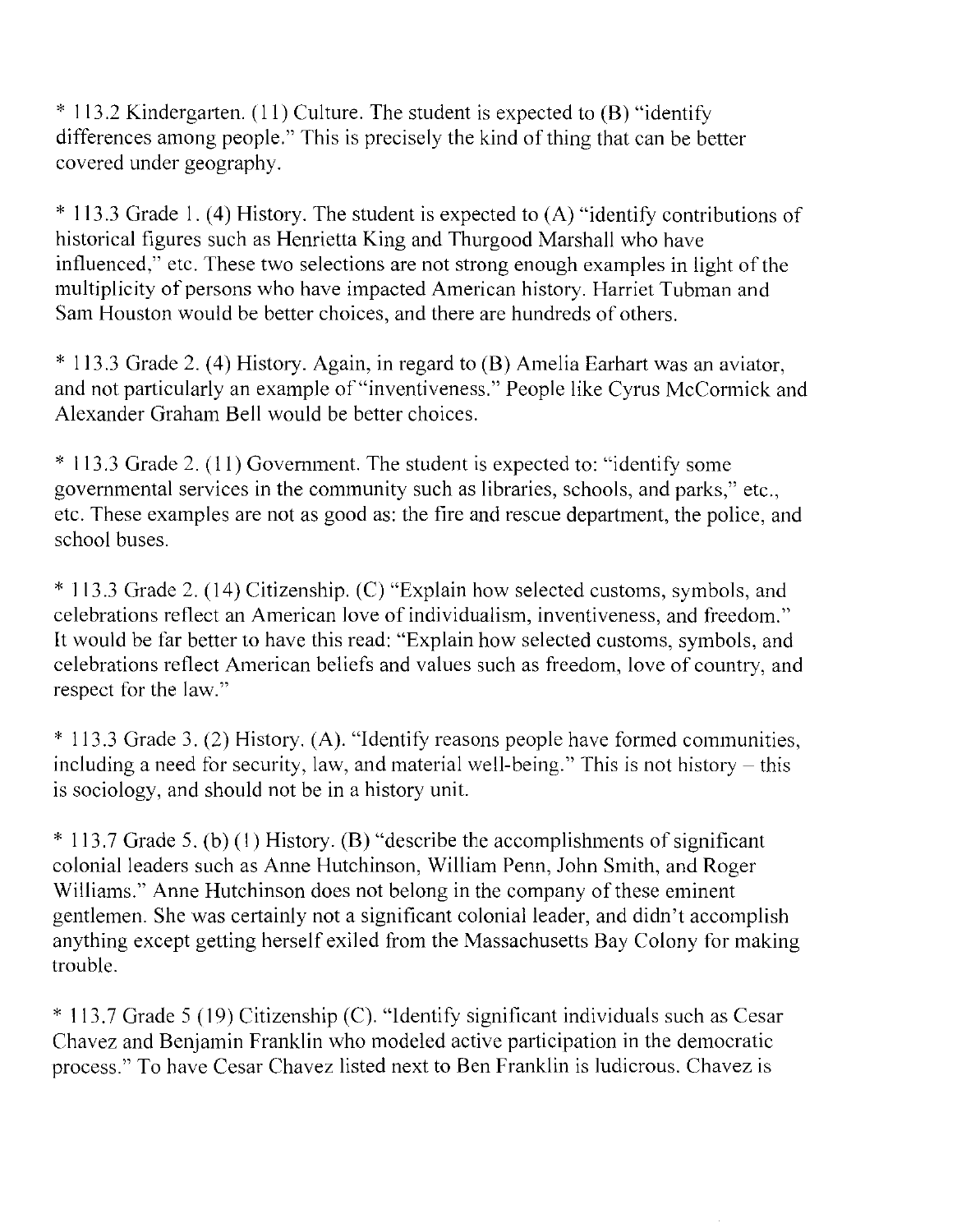\* 113.2 Kindergarten. (11) Culture. The student is expected to (B) "identify differences among people." This is precisely the kind of thing that can be better covered under geography.

\* 113.3 Grade 1. (4) History. The student is expected to CA) "identify contributions of historical figures such as Henrietta King and Thurgood Marshall who have influenced," etc. These two selections are not strong enough examples in light of the multiplicity of persons who have impacted American history. Harriet Tubman and Sam Houston would be better choices, and there are hundreds of others.

\* 113.3 Grade 2. (4) History. Again, in regard to (B) Amelia Earhart was an aviator, and not particularly an example of "inventiveness." People like Cyrus McCormick and Alexander Graham Bell would be better choices.

\* 113.3 Grade 2. (11) Government. The student is expected to: "identify some governmental services in the community such as libraries, schools, and parks," etc., etc. These examples are not as good as: the fire and rescue department, the police, and school buses.

\* 113.3 Grade 2. (14) Citizenship. (C) "Explain how selected customs, symbols, and celebrations reflect an American love of individualism, inventiveness, and freedom." It would be far better to have this read: "Explain how selected customs, symbols, and celebrations reflect American beliefs and values such as freedom, love of country, and respect for the law."

\* 113.3 Grade 3. (2) History. (A). "Identify reasons people have formed communities, including a need for security, law, and material well-being." This is not history  $-$  this is sociology, and should not be in a history unit.

\* 113.7 Grade 5. (b) (1) History. (B) "describe the accomplishments of significant colonial leaders such as Anne Hutchinson, William Penn, John Smith, and Roger Williams." Anne Hutchinson does not belong in the company of these eminent gentlemen. She was certainly not a significant colonial leader, and didn't accomplish anything except getting herself exiled from the Massachusetts Bay Colony for making trouble.

\* 113.7 Grade 5 (19) Citizenship (C). "Identify significant individuals such as Cesar Chavez and Benjamin Franklin who modeled active participation in the democratic process." To have Cesar Chavez listed next to Ben Franklin is ludicrous. Chavez is